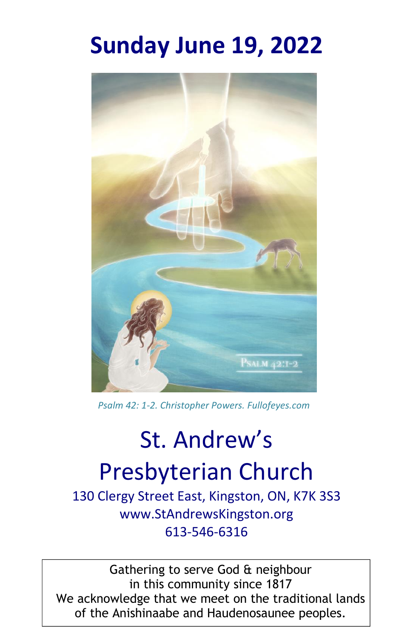# **Sunday June 19, 2022**



*Psalm 42: 1-2. Christopher Powers. Fullofeyes.com*

# St. Andrew's Presbyterian Church

130 Clergy Street East, Kingston, ON, K7K 3S3 www.StAndrewsKingston.org 613-546-6316

Gathering to serve God & neighbour in this community since 1817 We acknowledge that we meet on the traditional lands of the Anishinaabe and Haudenosaunee peoples.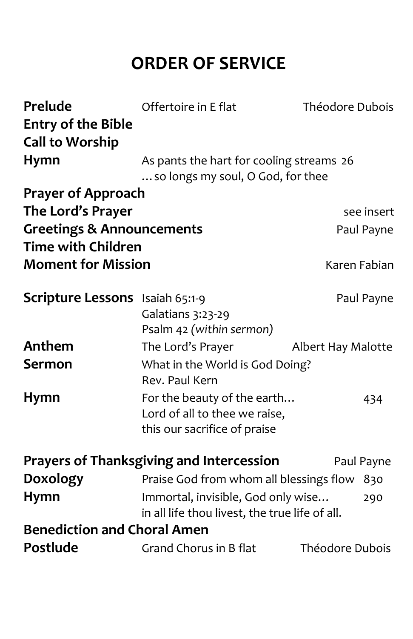# **ORDER OF SERVICE**

| Prelude                                | Offertoire in E flat                            | Théodore Dubois    |  |
|----------------------------------------|-------------------------------------------------|--------------------|--|
| <b>Entry of the Bible</b>              |                                                 |                    |  |
| <b>Call to Worship</b>                 |                                                 |                    |  |
| <b>Hymn</b>                            | As pants the hart for cooling streams 26        |                    |  |
|                                        | so longs my soul, O God, for thee               |                    |  |
| <b>Prayer of Approach</b>              |                                                 |                    |  |
| The Lord's Prayer                      |                                                 | see insert         |  |
| <b>Greetings &amp; Announcements</b>   |                                                 | Paul Payne         |  |
| <b>Time with Children</b>              |                                                 |                    |  |
| <b>Moment for Mission</b>              |                                                 | Karen Fabian       |  |
|                                        |                                                 |                    |  |
| <b>Scripture Lessons</b> Isaiah 65:1-9 |                                                 | Paul Payne         |  |
|                                        | Galatians 3:23-29                               |                    |  |
|                                        | Psalm 42 (within sermon)                        |                    |  |
| Anthem                                 | The Lord's Prayer                               | Albert Hay Malotte |  |
| Sermon                                 | What in the World is God Doing?                 |                    |  |
|                                        | Rev. Paul Kern                                  |                    |  |
| <b>Hymn</b>                            | For the beauty of the earth                     | 434                |  |
|                                        | Lord of all to thee we raise,                   |                    |  |
|                                        | this our sacrifice of praise                    |                    |  |
|                                        | <b>Prayers of Thanksgiving and Intercession</b> | Paul Payne         |  |
| <b>Doxology</b>                        | Praise God from whom all blessings flow         | 830                |  |
| <b>Hymn</b>                            | Immortal, invisible, God only wise<br>290       |                    |  |
|                                        | in all life thou livest, the true life of all.  |                    |  |
| <b>Benediction and Choral Amen</b>     |                                                 |                    |  |
| Postlude                               | Grand Chorus in B flat                          | Théodore Dubois    |  |
|                                        |                                                 |                    |  |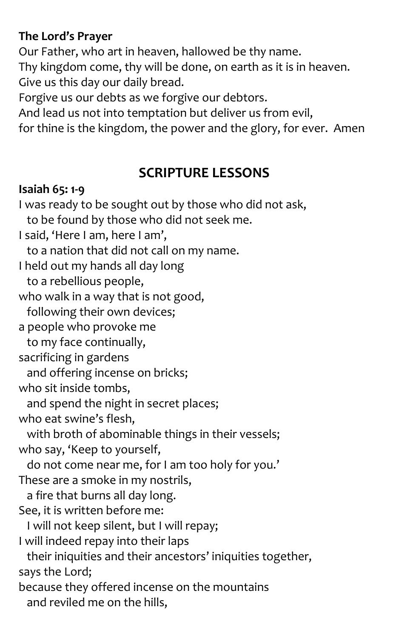#### **The Lord's Prayer**

Our Father, who art in heaven, hallowed be thy name. Thy kingdom come, thy will be done, on earth as it is in heaven. Give us this day our daily bread.

Forgive us our debts as we forgive our debtors.

And lead us not into temptation but deliver us from evil,

for thine is the kingdom, the power and the glory, for ever. Amen

### **SCRIPTURE LESSONS**

#### **Isaiah 65: 1-9**

I was ready to be sought out by those who did not ask, to be found by those who did not seek me. I said, 'Here I am, here I am', to a nation that did not call on my name. I held out my hands all day long to a rebellious people, who walk in a way that is not good, following their own devices; a people who provoke me to my face continually, sacrificing in gardens and offering incense on bricks; who sit inside tombs, and spend the night in secret places; who eat swine's flesh, with broth of abominable things in their vessels; who say, 'Keep to yourself, do not come near me, for I am too holy for you.' These are a smoke in my nostrils, a fire that burns all day long. See, it is written before me: I will not keep silent, but I will repay; I will indeed repay into their laps their iniquities and their ancestors' iniquities together, says the Lord; because they offered incense on the mountains and reviled me on the hills,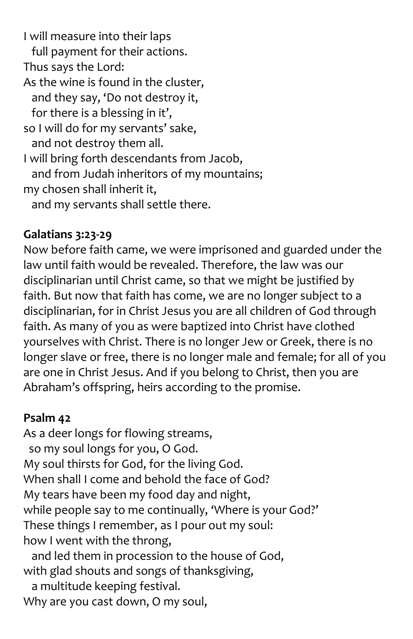I will measure into their laps full payment for their actions. Thus says the Lord: As the wine is found in the cluster, and they say, 'Do not destroy it, for there is a blessing in it', so I will do for my servants' sake, and not destroy them all. I will bring forth descendants from Jacob, and from Judah inheritors of my mountains; my chosen shall inherit it, and my servants shall settle there.

#### **Galatians 3:23-29**

Now before faith came, we were imprisoned and guarded under the law until faith would be revealed. Therefore, the law was our disciplinarian until Christ came, so that we might be justified by faith. But now that faith has come, we are no longer subject to a disciplinarian, for in Christ Jesus you are all children of God through faith. As many of you as were baptized into Christ have clothed yourselves with Christ. There is no longer Jew or Greek, there is no longer slave or free, there is no longer male and female; for all of you are one in Christ Jesus. And if you belong to Christ, then you are Abraham's offspring, heirs according to the promise.

#### **Psalm 42**

As a deer longs for flowing streams, so my soul longs for you, O God. My soul thirsts for God, for the living God. When shall I come and behold the face of God? My tears have been my food day and night, while people say to me continually, 'Where is your God?' These things I remember, as I pour out my soul: how I went with the throng,

and led them in procession to the house of God, with glad shouts and songs of thanksgiving,

a multitude keeping festival. Why are you cast down, O my soul,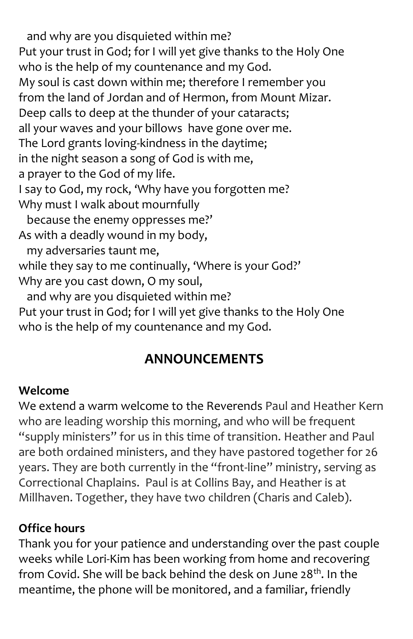and why are you disquieted within me? Put your trust in God; for I will yet give thanks to the Holy One who is the help of my countenance and my God. My soul is cast down within me; therefore I remember you from the land of Jordan and of Hermon, from Mount Mizar. Deep calls to deep at the thunder of your cataracts; all your waves and your billows have gone over me. The Lord grants loving-kindness in the daytime; in the night season a song of God is with me, a prayer to the God of my life. I say to God, my rock, 'Why have you forgotten me? Why must I walk about mournfully because the enemy oppresses me?' As with a deadly wound in my body, my adversaries taunt me, while they say to me continually, 'Where is your God?' Why are you cast down, O my soul, and why are you disquieted within me? Put your trust in God; for I will yet give thanks to the Holy One

who is the help of my countenance and my God.

# **ANNOUNCEMENTS**

#### **Welcome**

We extend a warm welcome to the Reverends Paul and Heather Kern who are leading worship this morning, and who will be frequent "supply ministers" for us in this time of transition. Heather and Paul are both ordained ministers, and they have pastored together for 26 years. They are both currently in the "front-line" ministry, serving as Correctional Chaplains. Paul is at Collins Bay, and Heather is at Millhaven. Together, they have two children (Charis and Caleb).

#### **Office hours**

Thank you for your patience and understanding over the past couple weeks while Lori-Kim has been working from home and recovering from Covid. She will be back behind the desk on June 28<sup>th</sup>. In the meantime, the phone will be monitored, and a familiar, friendly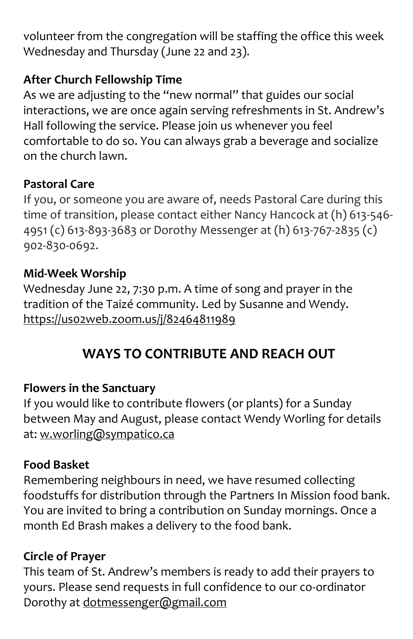volunteer from the congregation will be staffing the office this week Wednesday and Thursday (June 22 and 23).

#### **After Church Fellowship Time**

As we are adjusting to the "new normal" that guides our social interactions, we are once again serving refreshments in St. Andrew's Hall following the service. Please join us whenever you feel comfortable to do so. You can always grab a beverage and socialize on the church lawn.

#### **Pastoral Care**

If you, or someone you are aware of, needs Pastoral Care during this time of transition, please contact either Nancy Hancock at (h) 613-546- 4951 (c) 613-893-3683 or Dorothy Messenger at (h) 613-767-2835 (c) 902-830-0692.

#### **Mid-Week Worship**

Wednesday June 22, 7:30 p.m. A time of song and prayer in the tradition of the Taizé community. Led by Susanne and Wendy. <https://us02web.zoom.us/j/82464811989>

### **WAYS TO CONTRIBUTE AND REACH OUT**

#### **Flowers in the Sanctuary**

If you would like to contribute flowers (or plants) for a Sunday between May and August, please contact Wendy Worling for details at: [w.worling@sympatico.ca](file:///C:/Users/Office/Desktop/2022%20Desktop/April/w.worling@sympatico.ca)

#### **Food Basket**

Remembering neighbours in need, we have resumed collecting foodstuffs for distribution through the Partners In Mission food bank. You are invited to bring a contribution on Sunday mornings. Once a month Ed Brash makes a delivery to the food bank.

#### **Circle of Prayer**

This team of St. Andrew's members is ready to add their prayers to yours. Please send requests in full confidence to our co-ordinator Dorothy at [dotmessenger@gmail.com](mailto:dotmessenger@gmail.com)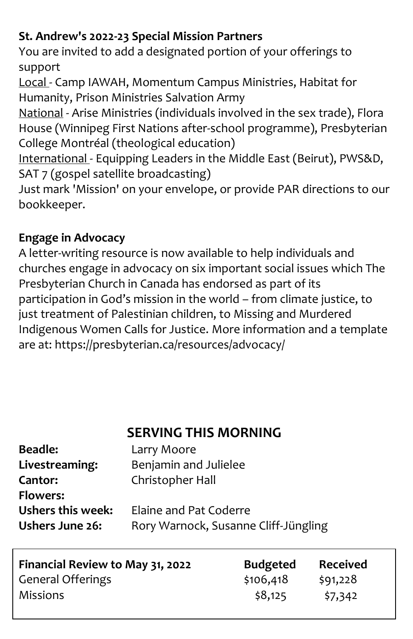#### **St. Andrew's 2022-23 Special Mission Partners**

You are invited to add a designated portion of your offerings to support

Local - Camp IAWAH, Momentum Campus Ministries, Habitat for Humanity, Prison Ministries Salvation Army

National - Arise Ministries (individuals involved in the sex trade), Flora House (Winnipeg First Nations after-school programme), Presbyterian College Montréal (theological education)

International - Equipping Leaders in the Middle East (Beirut), PWS&D, SAT 7 (gospel satellite broadcasting)

Just mark 'Mission' on your envelope, or provide PAR directions to our bookkeeper.

#### **Engage in Advocacy**

A letter-writing resource is now available to help individuals and churches engage in advocacy on six important social issues which The Presbyterian Church in Canada has endorsed as part of its participation in God's mission in the world – from climate justice, to just treatment of Palestinian children, to Missing and Murdered Indigenous Women Calls for Justice. More information and a template are at: https://presbyterian.ca/resources/advocacy/

#### **SERVING THIS MORNING**

| <b>Beadle:</b>    | Larry Moore                          |
|-------------------|--------------------------------------|
| Livestreaming:    | Benjamin and Julielee                |
| Cantor:           | Christopher Hall                     |
| <b>Flowers:</b>   |                                      |
| Ushers this week: | Elaine and Pat Coderre               |
| Ushers June 26:   | Rory Warnock, Susanne Cliff-Jüngling |

| Financial Review to May 31, 2022 | <b>Budgeted</b> | <b>Received</b> |
|----------------------------------|-----------------|-----------------|
| General Offerings                | \$106,418       | \$91,228        |
| <b>Missions</b>                  | \$8,125         | \$7,342         |